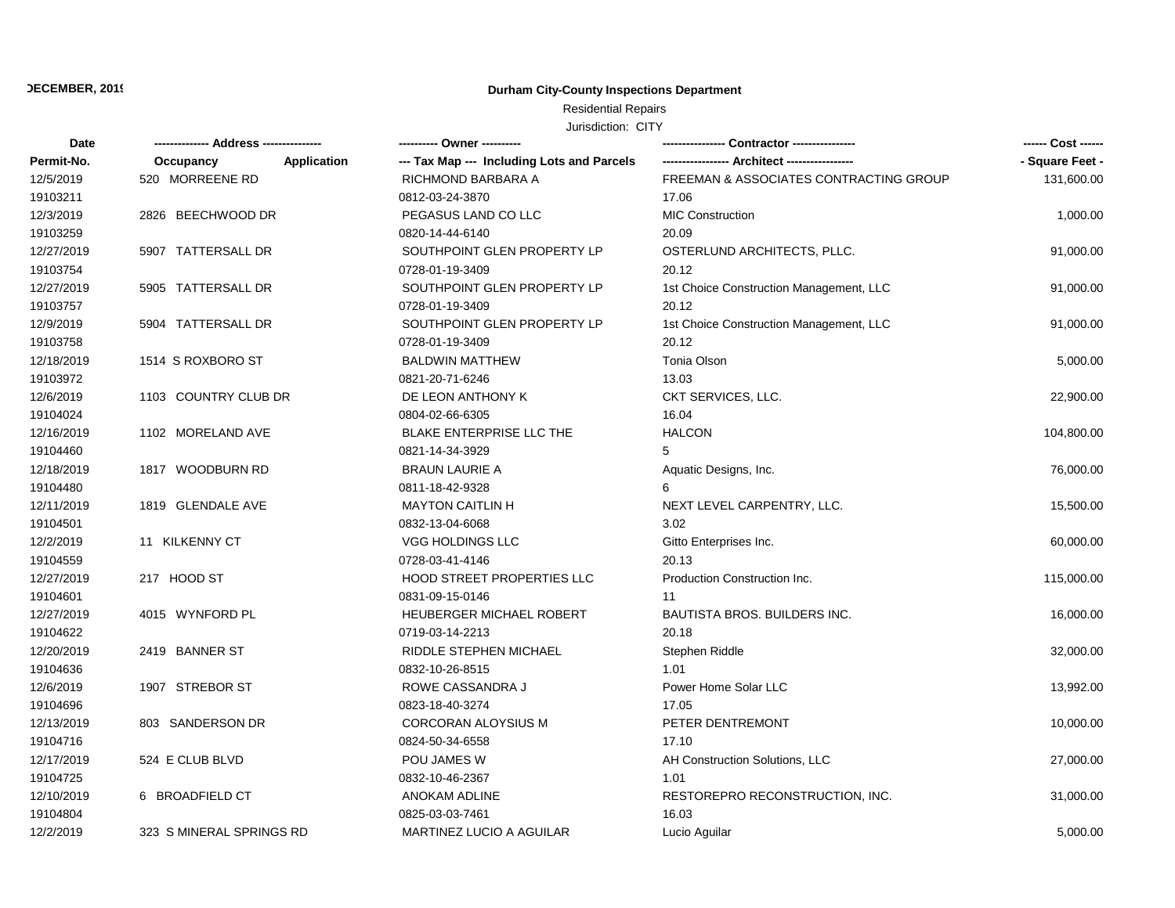## **Durham City-County Inspections Department**

# Residential Repairs

| Date       |                          | ---------- Owner ----------                |                                         | ------ Cost ------ |
|------------|--------------------------|--------------------------------------------|-----------------------------------------|--------------------|
| Permit-No. | Occupancy<br>Application | --- Tax Map --- Including Lots and Parcels |                                         | - Square Feet -    |
| 12/5/2019  | 520 MORREENE RD          | RICHMOND BARBARA A                         | FREEMAN & ASSOCIATES CONTRACTING GROUP  | 131,600.00         |
| 19103211   |                          | 0812-03-24-3870                            | 17.06                                   |                    |
| 12/3/2019  | 2826 BEECHWOOD DR        | PEGASUS LAND CO LLC                        | <b>MIC Construction</b>                 | 1,000.00           |
| 19103259   |                          | 0820-14-44-6140                            | 20.09                                   |                    |
| 12/27/2019 | 5907 TATTERSALL DR       | SOUTHPOINT GLEN PROPERTY LP                | OSTERLUND ARCHITECTS, PLLC.             | 91,000.00          |
| 19103754   |                          | 0728-01-19-3409                            | 20.12                                   |                    |
| 12/27/2019 | 5905 TATTERSALL DR       | SOUTHPOINT GLEN PROPERTY LP                | 1st Choice Construction Management, LLC | 91,000.00          |
| 19103757   |                          | 0728-01-19-3409                            | 20.12                                   |                    |
| 12/9/2019  | 5904 TATTERSALL DR       | SOUTHPOINT GLEN PROPERTY LP                | 1st Choice Construction Management, LLC | 91,000.00          |
| 19103758   |                          | 0728-01-19-3409                            | 20.12                                   |                    |
| 12/18/2019 | 1514 S ROXBORO ST        | <b>BALDWIN MATTHEW</b>                     | <b>Tonia Olson</b>                      | 5,000.00           |
| 19103972   |                          | 0821-20-71-6246                            | 13.03                                   |                    |
| 12/6/2019  | 1103 COUNTRY CLUB DR     | DE LEON ANTHONY K                          | CKT SERVICES, LLC.                      | 22,900.00          |
| 19104024   |                          | 0804-02-66-6305                            | 16.04                                   |                    |
| 12/16/2019 | 1102 MORELAND AVE        | BLAKE ENTERPRISE LLC THE                   | <b>HALCON</b>                           | 104,800.00         |
| 19104460   |                          | 0821-14-34-3929                            | 5                                       |                    |
| 12/18/2019 | 1817 WOODBURN RD         | <b>BRAUN LAURIE A</b>                      | Aquatic Designs, Inc.                   | 76,000.00          |
| 19104480   |                          | 0811-18-42-9328                            | 6                                       |                    |
| 12/11/2019 | 1819 GLENDALE AVE        | <b>MAYTON CAITLIN H</b>                    | NEXT LEVEL CARPENTRY, LLC.              | 15,500.00          |
| 19104501   |                          | 0832-13-04-6068                            | 3.02                                    |                    |
| 12/2/2019  | 11 KILKENNY CT           | VGG HOLDINGS LLC                           | Gitto Enterprises Inc.                  | 60,000.00          |
| 19104559   |                          | 0728-03-41-4146                            | 20.13                                   |                    |
| 12/27/2019 | 217 HOOD ST              | <b>HOOD STREET PROPERTIES LLC</b>          | Production Construction Inc.            | 115,000.00         |
| 19104601   |                          | 0831-09-15-0146                            | 11                                      |                    |
| 12/27/2019 | 4015 WYNFORD PL          | HEUBERGER MICHAEL ROBERT                   | <b>BAUTISTA BROS. BUILDERS INC.</b>     | 16,000.00          |
| 19104622   |                          | 0719-03-14-2213                            | 20.18                                   |                    |
| 12/20/2019 | 2419 BANNER ST           | RIDDLE STEPHEN MICHAEL                     | Stephen Riddle                          | 32,000.00          |
| 19104636   |                          | 0832-10-26-8515                            | 1.01                                    |                    |
| 12/6/2019  | 1907 STREBOR ST          | ROWE CASSANDRA J                           | Power Home Solar LLC                    | 13,992.00          |
| 19104696   |                          | 0823-18-40-3274                            | 17.05                                   |                    |
| 12/13/2019 | 803 SANDERSON DR         | <b>CORCORAN ALOYSIUS M</b>                 | PETER DENTREMONT                        | 10,000.00          |
| 19104716   |                          | 0824-50-34-6558                            | 17.10                                   |                    |
| 12/17/2019 | 524 E CLUB BLVD          | POU JAMES W                                | AH Construction Solutions, LLC          | 27,000.00          |
| 19104725   |                          | 0832-10-46-2367                            | 1.01                                    |                    |
| 12/10/2019 | 6 BROADFIELD CT          | <b>ANOKAM ADLINE</b>                       | RESTOREPRO RECONSTRUCTION, INC.         | 31,000.00          |
| 19104804   |                          | 0825-03-03-7461                            | 16.03                                   |                    |
| 12/2/2019  | 323 S MINERAL SPRINGS RD | MARTINEZ LUCIO A AGUILAR                   | Lucio Aguilar                           | 5,000.00           |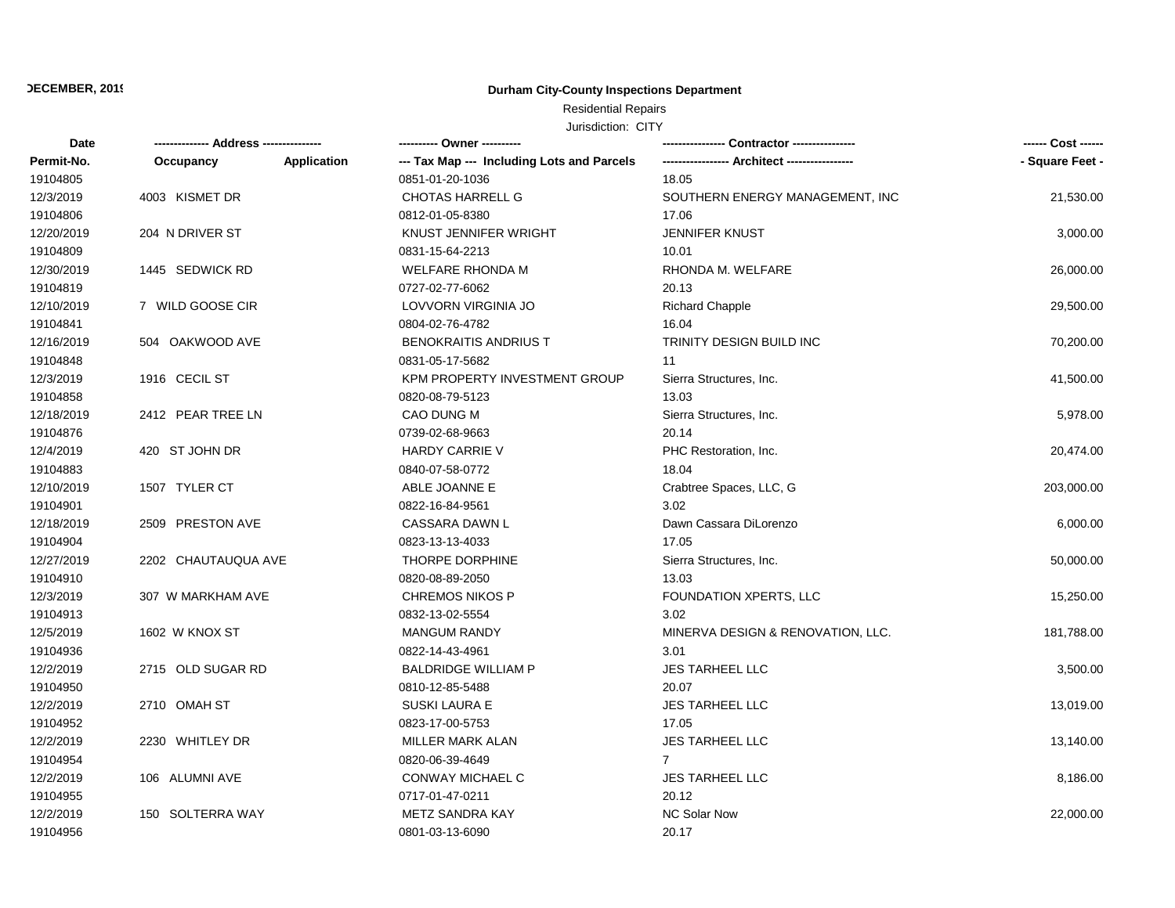## **Durham City-County Inspections Department**

# Residential Repairs

| Date       |                     |                    | ---------- Owner ----------                | Contractor ----------------       | ------ Cost ------ |
|------------|---------------------|--------------------|--------------------------------------------|-----------------------------------|--------------------|
| Permit-No. | Occupancy           | <b>Application</b> | --- Tax Map --- Including Lots and Parcels |                                   | - Square Feet -    |
| 19104805   |                     |                    | 0851-01-20-1036                            | 18.05                             |                    |
| 12/3/2019  | 4003 KISMET DR      |                    | CHOTAS HARRELL G                           | SOUTHERN ENERGY MANAGEMENT, INC   | 21,530.00          |
| 19104806   |                     |                    | 0812-01-05-8380                            | 17.06                             |                    |
| 12/20/2019 | 204 N DRIVER ST     |                    | KNUST JENNIFER WRIGHT                      | <b>JENNIFER KNUST</b>             | 3,000.00           |
| 19104809   |                     |                    | 0831-15-64-2213                            | 10.01                             |                    |
| 12/30/2019 | 1445 SEDWICK RD     |                    | <b>WELFARE RHONDA M</b>                    | RHONDA M. WELFARE                 | 26,000.00          |
| 19104819   |                     |                    | 0727-02-77-6062                            | 20.13                             |                    |
| 12/10/2019 | 7 WILD GOOSE CIR    |                    | LOVVORN VIRGINIA JO                        | <b>Richard Chapple</b>            | 29,500.00          |
| 19104841   |                     |                    | 0804-02-76-4782                            | 16.04                             |                    |
| 12/16/2019 | 504 OAKWOOD AVE     |                    | <b>BENOKRAITIS ANDRIUS T</b>               | <b>TRINITY DESIGN BUILD INC</b>   | 70,200.00          |
| 19104848   |                     |                    | 0831-05-17-5682                            | 11                                |                    |
| 12/3/2019  | 1916 CECIL ST       |                    | KPM PROPERTY INVESTMENT GROUP              | Sierra Structures, Inc.           | 41,500.00          |
| 19104858   |                     |                    | 0820-08-79-5123                            | 13.03                             |                    |
| 12/18/2019 | 2412 PEAR TREE LN   |                    | CAO DUNG M                                 | Sierra Structures, Inc.           | 5,978.00           |
| 19104876   |                     |                    | 0739-02-68-9663                            | 20.14                             |                    |
| 12/4/2019  | 420 ST JOHN DR      |                    | <b>HARDY CARRIE V</b>                      | PHC Restoration, Inc.             | 20,474.00          |
| 19104883   |                     |                    | 0840-07-58-0772                            | 18.04                             |                    |
| 12/10/2019 | 1507 TYLER CT       |                    | ABLE JOANNE E                              | Crabtree Spaces, LLC, G           | 203,000.00         |
| 19104901   |                     |                    | 0822-16-84-9561                            | 3.02                              |                    |
| 12/18/2019 | 2509 PRESTON AVE    |                    | CASSARA DAWN L                             | Dawn Cassara DiLorenzo            | 6,000.00           |
| 19104904   |                     |                    | 0823-13-13-4033                            | 17.05                             |                    |
| 12/27/2019 | 2202 CHAUTAUQUA AVE |                    | THORPE DORPHINE                            | Sierra Structures, Inc.           | 50,000.00          |
| 19104910   |                     |                    | 0820-08-89-2050                            | 13.03                             |                    |
| 12/3/2019  | 307 W MARKHAM AVE   |                    | <b>CHREMOS NIKOS P</b>                     | FOUNDATION XPERTS, LLC            | 15,250.00          |
| 19104913   |                     |                    | 0832-13-02-5554                            | 3.02                              |                    |
| 12/5/2019  | 1602 W KNOX ST      |                    | <b>MANGUM RANDY</b>                        | MINERVA DESIGN & RENOVATION, LLC. | 181,788.00         |
| 19104936   |                     |                    | 0822-14-43-4961                            | 3.01                              |                    |
| 12/2/2019  | 2715 OLD SUGAR RD   |                    | <b>BALDRIDGE WILLIAM P</b>                 | <b>JES TARHEEL LLC</b>            | 3,500.00           |
| 19104950   |                     |                    | 0810-12-85-5488                            | 20.07                             |                    |
| 12/2/2019  | 2710 OMAH ST        |                    | <b>SUSKI LAURA E</b>                       | <b>JES TARHEEL LLC</b>            | 13,019.00          |
| 19104952   |                     |                    | 0823-17-00-5753                            | 17.05                             |                    |
| 12/2/2019  | 2230 WHITLEY DR     |                    | MILLER MARK ALAN                           | <b>JES TARHEEL LLC</b>            | 13,140.00          |
| 19104954   |                     |                    | 0820-06-39-4649                            | $7^{\circ}$                       |                    |
| 12/2/2019  | 106 ALUMNI AVE      |                    | CONWAY MICHAEL C                           | <b>JES TARHEEL LLC</b>            | 8,186.00           |
| 19104955   |                     |                    | 0717-01-47-0211                            | 20.12                             |                    |
| 12/2/2019  | 150 SOLTERRA WAY    |                    | <b>METZ SANDRA KAY</b>                     | <b>NC Solar Now</b>               | 22,000.00          |
| 19104956   |                     |                    | 0801-03-13-6090                            | 20.17                             |                    |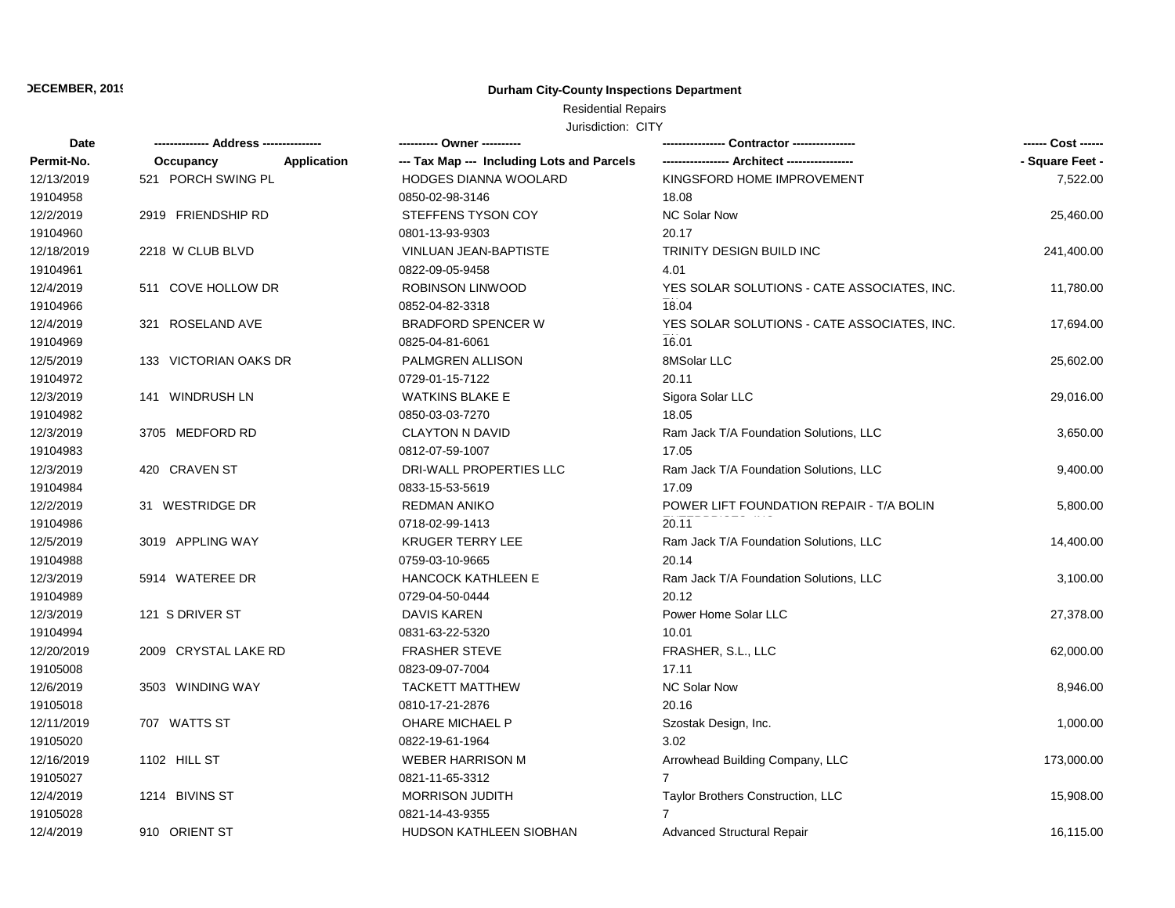## **Durham City-County Inspections Department**

# Residential Repairs

| Date       |                          |                                            | Contractor ----------------                 |                 |
|------------|--------------------------|--------------------------------------------|---------------------------------------------|-----------------|
| Permit-No. | Occupancy<br>Application | --- Tax Map --- Including Lots and Parcels |                                             | - Square Feet - |
| 12/13/2019 | 521 PORCH SWING PL       | <b>HODGES DIANNA WOOLARD</b>               | KINGSFORD HOME IMPROVEMENT                  | 7,522.00        |
| 19104958   |                          | 0850-02-98-3146                            | 18.08                                       |                 |
| 12/2/2019  | 2919 FRIENDSHIP RD       | STEFFENS TYSON COY                         | <b>NC Solar Now</b>                         | 25,460.00       |
| 19104960   |                          | 0801-13-93-9303                            | 20.17                                       |                 |
| 12/18/2019 | 2218 W CLUB BLVD         | VINLUAN JEAN-BAPTISTE                      | TRINITY DESIGN BUILD INC                    | 241,400.00      |
| 19104961   |                          | 0822-09-05-9458                            | 4.01                                        |                 |
| 12/4/2019  | 511 COVE HOLLOW DR       | <b>ROBINSON LINWOOD</b>                    | YES SOLAR SOLUTIONS - CATE ASSOCIATES, INC. | 11,780.00       |
| 19104966   |                          | 0852-04-82-3318                            | 18.04                                       |                 |
| 12/4/2019  | 321 ROSELAND AVE         | <b>BRADFORD SPENCER W</b>                  | YES SOLAR SOLUTIONS - CATE ASSOCIATES, INC. | 17,694.00       |
| 19104969   |                          | 0825-04-81-6061                            | 16.01                                       |                 |
| 12/5/2019  | 133 VICTORIAN OAKS DR    | PALMGREN ALLISON                           | 8MSolar LLC                                 | 25,602.00       |
| 19104972   |                          | 0729-01-15-7122                            | 20.11                                       |                 |
| 12/3/2019  | 141 WINDRUSH LN          | <b>WATKINS BLAKE E</b>                     | Sigora Solar LLC                            | 29,016.00       |
| 19104982   |                          | 0850-03-03-7270                            | 18.05                                       |                 |
| 12/3/2019  | 3705 MEDFORD RD          | <b>CLAYTON N DAVID</b>                     | Ram Jack T/A Foundation Solutions, LLC      | 3,650.00        |
| 19104983   |                          | 0812-07-59-1007                            | 17.05                                       |                 |
| 12/3/2019  | 420 CRAVEN ST            | DRI-WALL PROPERTIES LLC                    | Ram Jack T/A Foundation Solutions, LLC      | 9,400.00        |
| 19104984   |                          | 0833-15-53-5619                            | 17.09                                       |                 |
| 12/2/2019  | 31 WESTRIDGE DR          | <b>REDMAN ANIKO</b>                        | POWER LIFT FOUNDATION REPAIR - T/A BOLIN    | 5,800.00        |
| 19104986   |                          | 0718-02-99-1413                            | 20.11                                       |                 |
| 12/5/2019  | 3019 APPLING WAY         | <b>KRUGER TERRY LEE</b>                    | Ram Jack T/A Foundation Solutions, LLC      | 14,400.00       |
| 19104988   |                          | 0759-03-10-9665                            | 20.14                                       |                 |
| 12/3/2019  | 5914 WATEREE DR          | <b>HANCOCK KATHLEEN E</b>                  | Ram Jack T/A Foundation Solutions, LLC      | 3,100.00        |
| 19104989   |                          | 0729-04-50-0444                            | 20.12                                       |                 |
| 12/3/2019  | 121 S DRIVER ST          | DAVIS KAREN                                | Power Home Solar LLC                        | 27,378.00       |
| 19104994   |                          | 0831-63-22-5320                            | 10.01                                       |                 |
| 12/20/2019 | 2009 CRYSTAL LAKE RD     | <b>FRASHER STEVE</b>                       | FRASHER, S.L., LLC                          | 62,000.00       |
| 19105008   |                          | 0823-09-07-7004                            | 17.11                                       |                 |
| 12/6/2019  | 3503 WINDING WAY         | <b>TACKETT MATTHEW</b>                     | NC Solar Now                                | 8,946.00        |
| 19105018   |                          | 0810-17-21-2876                            | 20.16                                       |                 |
| 12/11/2019 | 707 WATTS ST             | OHARE MICHAEL P                            | Szostak Design, Inc.                        | 1,000.00        |
| 19105020   |                          | 0822-19-61-1964                            | 3.02                                        |                 |
| 12/16/2019 | 1102 HILL ST             | <b>WEBER HARRISON M</b>                    | Arrowhead Building Company, LLC             | 173,000.00      |
| 19105027   |                          | 0821-11-65-3312                            | $\overline{7}$                              |                 |
| 12/4/2019  | 1214 BIVINS ST           | <b>MORRISON JUDITH</b>                     | Taylor Brothers Construction, LLC           | 15,908.00       |
| 19105028   |                          | 0821-14-43-9355                            | 7                                           |                 |
| 12/4/2019  | 910 ORIENT ST            | HUDSON KATHLEEN SIOBHAN                    | Advanced Structural Repair                  | 16,115.00       |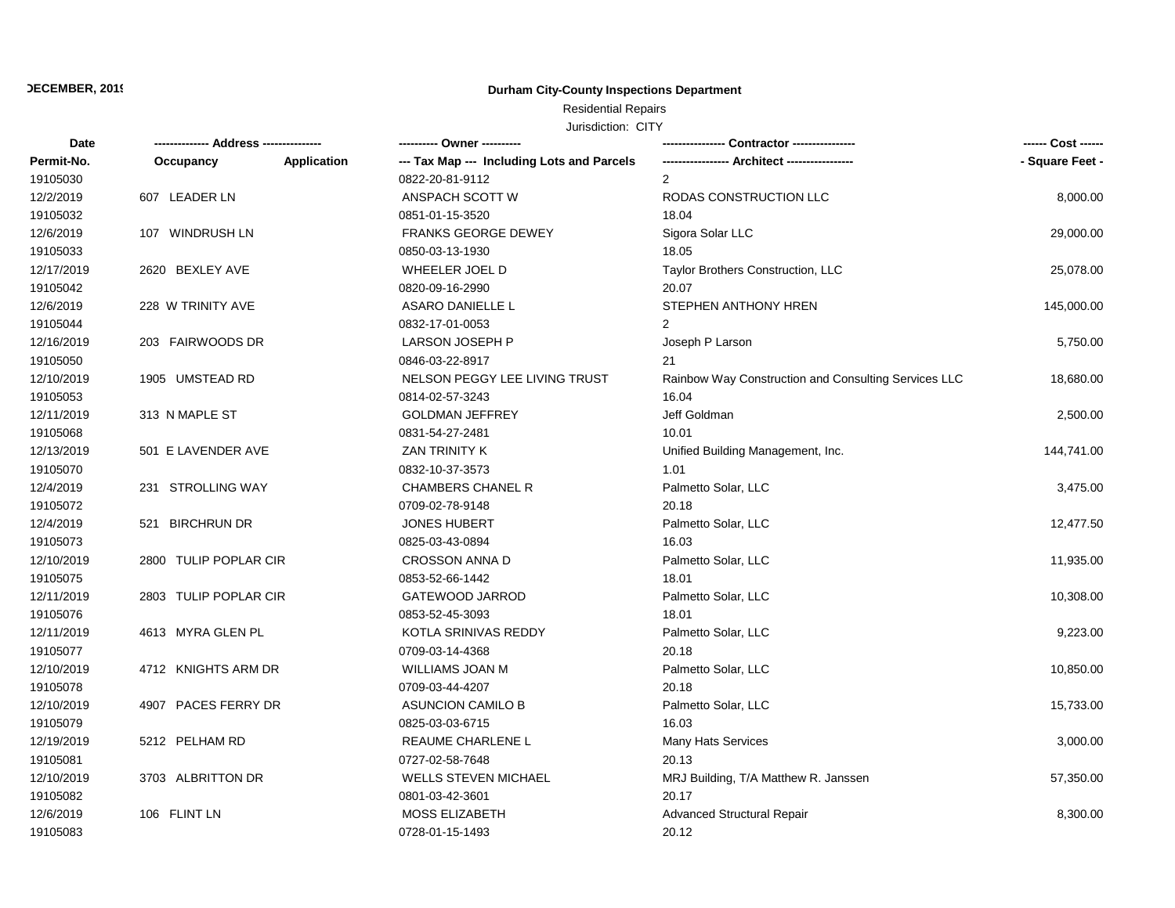## **Durham City-County Inspections Department**

# Residential Repairs

| Date       |                       |                    | ---------- Owner ----------                |                                                      | ------ Cost ------ |
|------------|-----------------------|--------------------|--------------------------------------------|------------------------------------------------------|--------------------|
| Permit-No. | Occupancy             | <b>Application</b> | --- Tax Map --- Including Lots and Parcels |                                                      | - Square Feet -    |
| 19105030   |                       |                    | 0822-20-81-9112                            | $\overline{2}$                                       |                    |
| 12/2/2019  | 607 LEADER LN         |                    | ANSPACH SCOTT W                            | RODAS CONSTRUCTION LLC                               | 8,000.00           |
| 19105032   |                       |                    | 0851-01-15-3520                            | 18.04                                                |                    |
| 12/6/2019  | 107 WINDRUSH LN       |                    | <b>FRANKS GEORGE DEWEY</b>                 | Sigora Solar LLC                                     | 29,000.00          |
| 19105033   |                       |                    | 0850-03-13-1930                            | 18.05                                                |                    |
| 12/17/2019 | 2620 BEXLEY AVE       |                    | WHEELER JOEL D                             | Taylor Brothers Construction, LLC                    | 25,078.00          |
| 19105042   |                       |                    | 0820-09-16-2990                            | 20.07                                                |                    |
| 12/6/2019  | 228 W TRINITY AVE     |                    | ASARO DANIELLE L                           | STEPHEN ANTHONY HREN                                 | 145,000.00         |
| 19105044   |                       |                    | 0832-17-01-0053                            | $\overline{2}$                                       |                    |
| 12/16/2019 | 203 FAIRWOODS DR      |                    | LARSON JOSEPH P                            | Joseph P Larson                                      | 5,750.00           |
| 19105050   |                       |                    | 0846-03-22-8917                            | 21                                                   |                    |
| 12/10/2019 | 1905 UMSTEAD RD       |                    | NELSON PEGGY LEE LIVING TRUST              | Rainbow Way Construction and Consulting Services LLC | 18,680.00          |
| 19105053   |                       |                    | 0814-02-57-3243                            | 16.04                                                |                    |
| 12/11/2019 | 313 N MAPLE ST        |                    | <b>GOLDMAN JEFFREY</b>                     | Jeff Goldman                                         | 2,500.00           |
| 19105068   |                       |                    | 0831-54-27-2481                            | 10.01                                                |                    |
| 12/13/2019 | 501 E LAVENDER AVE    |                    | <b>ZAN TRINITY K</b>                       | Unified Building Management, Inc.                    | 144,741.00         |
| 19105070   |                       |                    | 0832-10-37-3573                            | 1.01                                                 |                    |
| 12/4/2019  | 231 STROLLING WAY     |                    | <b>CHAMBERS CHANEL R</b>                   | Palmetto Solar, LLC                                  | 3,475.00           |
| 19105072   |                       |                    | 0709-02-78-9148                            | 20.18                                                |                    |
| 12/4/2019  | 521 BIRCHRUN DR       |                    | <b>JONES HUBERT</b>                        | Palmetto Solar, LLC                                  | 12,477.50          |
| 19105073   |                       |                    | 0825-03-43-0894                            | 16.03                                                |                    |
| 12/10/2019 | 2800 TULIP POPLAR CIR |                    | <b>CROSSON ANNA D</b>                      | Palmetto Solar, LLC                                  | 11,935.00          |
| 19105075   |                       |                    | 0853-52-66-1442                            | 18.01                                                |                    |
| 12/11/2019 | 2803 TULIP POPLAR CIR |                    | GATEWOOD JARROD                            | Palmetto Solar, LLC                                  | 10,308.00          |
| 19105076   |                       |                    | 0853-52-45-3093                            | 18.01                                                |                    |
| 12/11/2019 | 4613 MYRA GLEN PL     |                    | KOTLA SRINIVAS REDDY                       | Palmetto Solar, LLC                                  | 9,223.00           |
| 19105077   |                       |                    | 0709-03-14-4368                            | 20.18                                                |                    |
| 12/10/2019 | 4712 KNIGHTS ARM DR   |                    | WILLIAMS JOAN M                            | Palmetto Solar, LLC                                  | 10,850.00          |
| 19105078   |                       |                    | 0709-03-44-4207                            | 20.18                                                |                    |
| 12/10/2019 | 4907 PACES FERRY DR   |                    | <b>ASUNCION CAMILO B</b>                   | Palmetto Solar, LLC                                  | 15,733.00          |
| 19105079   |                       |                    | 0825-03-03-6715                            | 16.03                                                |                    |
| 12/19/2019 | 5212 PELHAM RD        |                    | REAUME CHARLENE L                          | <b>Many Hats Services</b>                            | 3,000.00           |
| 19105081   |                       |                    | 0727-02-58-7648                            | 20.13                                                |                    |
| 12/10/2019 | 3703 ALBRITTON DR     |                    | <b>WELLS STEVEN MICHAEL</b>                | MRJ Building, T/A Matthew R. Janssen                 | 57,350.00          |
| 19105082   |                       |                    | 0801-03-42-3601                            | 20.17                                                |                    |
| 12/6/2019  | 106 FLINT LN          |                    | <b>MOSS ELIZABETH</b>                      | <b>Advanced Structural Repair</b>                    | 8,300.00           |
| 19105083   |                       |                    | 0728-01-15-1493                            | 20.12                                                |                    |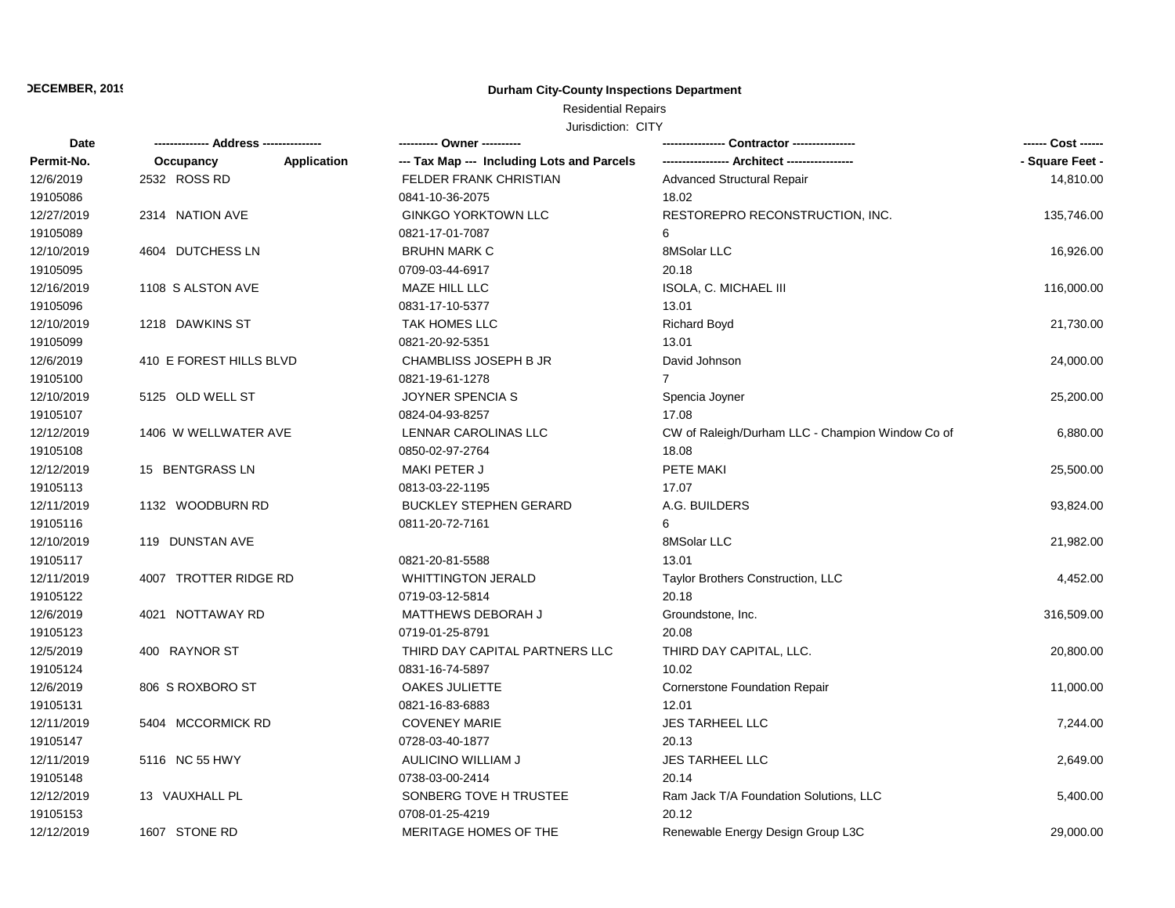## **Durham City-County Inspections Department**

# Residential Repairs

| Date       |                          | ---------- Owner ----------                |                                                  | ------ Cost ------ |
|------------|--------------------------|--------------------------------------------|--------------------------------------------------|--------------------|
| Permit-No. | Application<br>Occupancy | --- Tax Map --- Including Lots and Parcels |                                                  | - Square Feet -    |
| 12/6/2019  | 2532 ROSS RD             | FELDER FRANK CHRISTIAN                     | Advanced Structural Repair                       | 14,810.00          |
| 19105086   |                          | 0841-10-36-2075                            | 18.02                                            |                    |
| 12/27/2019 | 2314 NATION AVE          | <b>GINKGO YORKTOWN LLC</b>                 | RESTOREPRO RECONSTRUCTION, INC.                  | 135,746.00         |
| 19105089   |                          | 0821-17-01-7087                            | 6                                                |                    |
| 12/10/2019 | 4604 DUTCHESS LN         | <b>BRUHN MARK C</b>                        | 8MSolar LLC                                      | 16,926.00          |
| 19105095   |                          | 0709-03-44-6917                            | 20.18                                            |                    |
| 12/16/2019 | 1108 S ALSTON AVE        | MAZE HILL LLC                              | ISOLA, C. MICHAEL III                            | 116,000.00         |
| 19105096   |                          | 0831-17-10-5377                            | 13.01                                            |                    |
| 12/10/2019 | 1218 DAWKINS ST          | TAK HOMES LLC                              | <b>Richard Boyd</b>                              | 21,730.00          |
| 19105099   |                          | 0821-20-92-5351                            | 13.01                                            |                    |
| 12/6/2019  | 410 E FOREST HILLS BLVD  | CHAMBLISS JOSEPH B JR                      | David Johnson                                    | 24,000.00          |
| 19105100   |                          | 0821-19-61-1278                            | $\overline{7}$                                   |                    |
| 12/10/2019 | 5125 OLD WELL ST         | JOYNER SPENCIA S                           | Spencia Joyner                                   | 25,200.00          |
| 19105107   |                          | 0824-04-93-8257                            | 17.08                                            |                    |
| 12/12/2019 | 1406 W WELLWATER AVE     | LENNAR CAROLINAS LLC                       | CW of Raleigh/Durham LLC - Champion Window Co of | 6,880.00           |
| 19105108   |                          | 0850-02-97-2764                            | 18.08                                            |                    |
| 12/12/2019 | 15 BENTGRASS LN          | MAKI PETER J                               | PETE MAKI                                        | 25,500.00          |
| 19105113   |                          | 0813-03-22-1195                            | 17.07                                            |                    |
| 12/11/2019 | 1132 WOODBURN RD         | <b>BUCKLEY STEPHEN GERARD</b>              | A.G. BUILDERS                                    | 93,824.00          |
| 19105116   |                          | 0811-20-72-7161                            | 6                                                |                    |
| 12/10/2019 | 119 DUNSTAN AVE          |                                            | 8MSolar LLC                                      | 21,982.00          |
| 19105117   |                          | 0821-20-81-5588                            | 13.01                                            |                    |
| 12/11/2019 | 4007 TROTTER RIDGE RD    | <b>WHITTINGTON JERALD</b>                  | Taylor Brothers Construction, LLC                | 4,452.00           |
| 19105122   |                          | 0719-03-12-5814                            | 20.18                                            |                    |
| 12/6/2019  | 4021 NOTTAWAY RD         | MATTHEWS DEBORAH J                         | Groundstone, Inc.                                | 316,509.00         |
| 19105123   |                          | 0719-01-25-8791                            | 20.08                                            |                    |
| 12/5/2019  | 400 RAYNOR ST            | THIRD DAY CAPITAL PARTNERS LLC             | THIRD DAY CAPITAL, LLC.                          | 20,800.00          |
| 19105124   |                          | 0831-16-74-5897                            | 10.02                                            |                    |
| 12/6/2019  | 806 S ROXBORO ST         | OAKES JULIETTE                             | <b>Cornerstone Foundation Repair</b>             | 11,000.00          |
| 19105131   |                          | 0821-16-83-6883                            | 12.01                                            |                    |
| 12/11/2019 | 5404 MCCORMICK RD        | <b>COVENEY MARIE</b>                       | <b>JES TARHEEL LLC</b>                           | 7,244.00           |
| 19105147   |                          | 0728-03-40-1877                            | 20.13                                            |                    |
| 12/11/2019 | 5116 NC 55 HWY           | AULICINO WILLIAM J                         | JES TARHEEL LLC                                  | 2,649.00           |
| 19105148   |                          | 0738-03-00-2414                            | 20.14                                            |                    |
| 12/12/2019 | 13 VAUXHALL PL           | SONBERG TOVE H TRUSTEE                     | Ram Jack T/A Foundation Solutions, LLC           | 5,400.00           |
| 19105153   |                          | 0708-01-25-4219                            | 20.12                                            |                    |
| 12/12/2019 | 1607 STONE RD            | MERITAGE HOMES OF THE                      | Renewable Energy Design Group L3C                | 29,000.00          |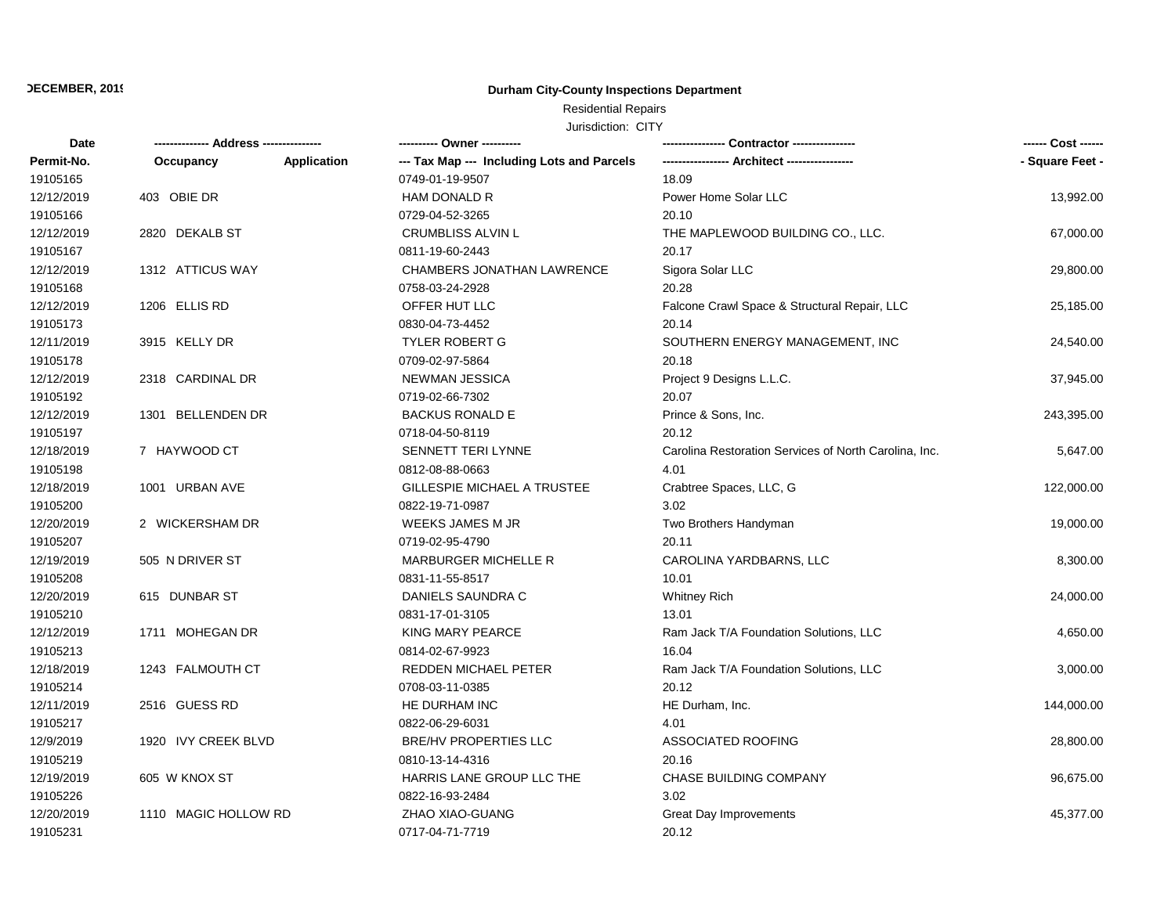## **Durham City-County Inspections Department**

# Residential Repairs

| Date       | ------------- Address -------------- |             | ---------- Owner ----------                |                                                       | ------ Cost ------ |
|------------|--------------------------------------|-------------|--------------------------------------------|-------------------------------------------------------|--------------------|
| Permit-No. | Occupancy                            | Application | --- Tax Map --- Including Lots and Parcels |                                                       | - Square Feet -    |
| 19105165   |                                      |             | 0749-01-19-9507                            | 18.09                                                 |                    |
| 12/12/2019 | 403 OBIE DR                          |             | HAM DONALD R                               | Power Home Solar LLC                                  | 13,992.00          |
| 19105166   |                                      |             | 0729-04-52-3265                            | 20.10                                                 |                    |
| 12/12/2019 | 2820 DEKALB ST                       |             | <b>CRUMBLISS ALVIN L</b>                   | THE MAPLEWOOD BUILDING CO., LLC.                      | 67,000.00          |
| 19105167   |                                      |             | 0811-19-60-2443                            | 20.17                                                 |                    |
| 12/12/2019 | 1312 ATTICUS WAY                     |             | CHAMBERS JONATHAN LAWRENCE                 | Sigora Solar LLC                                      | 29,800.00          |
| 19105168   |                                      |             | 0758-03-24-2928                            | 20.28                                                 |                    |
| 12/12/2019 | 1206 ELLIS RD                        |             | OFFER HUT LLC                              | Falcone Crawl Space & Structural Repair, LLC          | 25,185.00          |
| 19105173   |                                      |             | 0830-04-73-4452                            | 20.14                                                 |                    |
| 12/11/2019 | 3915 KELLY DR                        |             | <b>TYLER ROBERT G</b>                      | SOUTHERN ENERGY MANAGEMENT, INC                       | 24,540.00          |
| 19105178   |                                      |             | 0709-02-97-5864                            | 20.18                                                 |                    |
| 12/12/2019 | 2318 CARDINAL DR                     |             | <b>NEWMAN JESSICA</b>                      | Project 9 Designs L.L.C.                              | 37,945.00          |
| 19105192   |                                      |             | 0719-02-66-7302                            | 20.07                                                 |                    |
| 12/12/2019 | 1301 BELLENDEN DR                    |             | <b>BACKUS RONALD E</b>                     | Prince & Sons, Inc.                                   | 243,395.00         |
| 19105197   |                                      |             | 0718-04-50-8119                            | 20.12                                                 |                    |
| 12/18/2019 | 7 HAYWOOD CT                         |             | SENNETT TERI LYNNE                         | Carolina Restoration Services of North Carolina, Inc. | 5,647.00           |
| 19105198   |                                      |             | 0812-08-88-0663                            | 4.01                                                  |                    |
| 12/18/2019 | 1001 URBAN AVE                       |             | GILLESPIE MICHAEL A TRUSTEE                | Crabtree Spaces, LLC, G                               | 122,000.00         |
| 19105200   |                                      |             | 0822-19-71-0987                            | 3.02                                                  |                    |
| 12/20/2019 | 2 WICKERSHAM DR                      |             | <b>WEEKS JAMES M JR</b>                    | Two Brothers Handyman                                 | 19,000.00          |
| 19105207   |                                      |             | 0719-02-95-4790                            | 20.11                                                 |                    |
| 12/19/2019 | 505 N DRIVER ST                      |             | <b>MARBURGER MICHELLE R</b>                | CAROLINA YARDBARNS, LLC                               | 8,300.00           |
| 19105208   |                                      |             | 0831-11-55-8517                            | 10.01                                                 |                    |
| 12/20/2019 | 615 DUNBAR ST                        |             | DANIELS SAUNDRA C                          | <b>Whitney Rich</b>                                   | 24,000.00          |
| 19105210   |                                      |             | 0831-17-01-3105                            | 13.01                                                 |                    |
| 12/12/2019 | 1711 MOHEGAN DR                      |             | KING MARY PEARCE                           | Ram Jack T/A Foundation Solutions, LLC                | 4,650.00           |
| 19105213   |                                      |             | 0814-02-67-9923                            | 16.04                                                 |                    |
| 12/18/2019 | 1243 FALMOUTH CT                     |             | REDDEN MICHAEL PETER                       | Ram Jack T/A Foundation Solutions, LLC                | 3,000.00           |
| 19105214   |                                      |             | 0708-03-11-0385                            | 20.12                                                 |                    |
| 12/11/2019 | 2516 GUESS RD                        |             | HE DURHAM INC                              | HE Durham, Inc.                                       | 144,000.00         |
| 19105217   |                                      |             | 0822-06-29-6031                            | 4.01                                                  |                    |
| 12/9/2019  | 1920 IVY CREEK BLVD                  |             | <b>BRE/HV PROPERTIES LLC</b>               | ASSOCIATED ROOFING                                    | 28,800.00          |
| 19105219   |                                      |             | 0810-13-14-4316                            | 20.16                                                 |                    |
| 12/19/2019 | 605 W KNOX ST                        |             | HARRIS LANE GROUP LLC THE                  | CHASE BUILDING COMPANY                                | 96,675.00          |
| 19105226   |                                      |             | 0822-16-93-2484                            | 3.02                                                  |                    |
| 12/20/2019 | 1110 MAGIC HOLLOW RD                 |             | ZHAO XIAO-GUANG                            | <b>Great Day Improvements</b>                         | 45,377.00          |
| 19105231   |                                      |             | 0717-04-71-7719                            | 20.12                                                 |                    |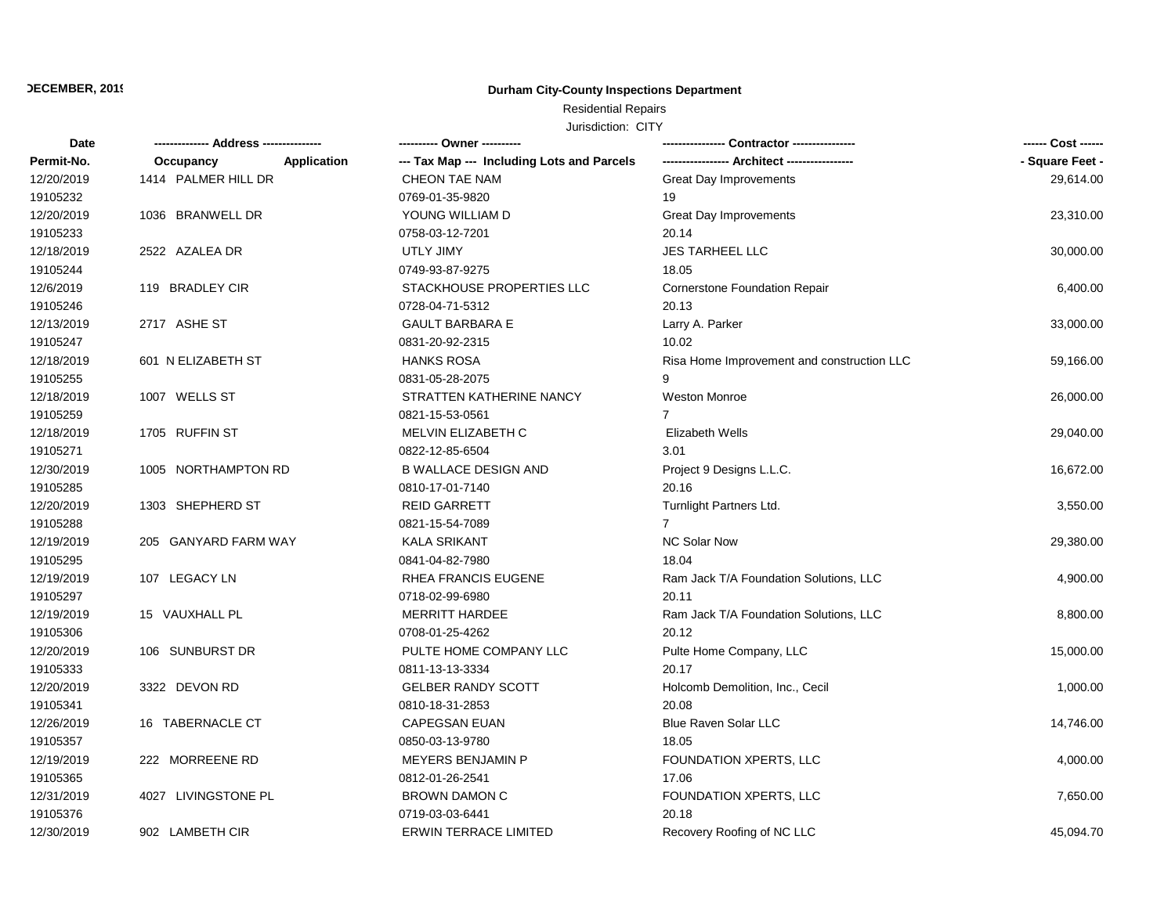## **Durham City-County Inspections Department**

# Residential Repairs

| Date       |                          | ---------- Owner ----------                |                                            | ------ Cost ------ |
|------------|--------------------------|--------------------------------------------|--------------------------------------------|--------------------|
| Permit-No. | Occupancy<br>Application | --- Tax Map --- Including Lots and Parcels |                                            | - Square Feet -    |
| 12/20/2019 | 1414 PALMER HILL DR      | CHEON TAE NAM                              | <b>Great Day Improvements</b>              | 29,614.00          |
| 19105232   |                          | 0769-01-35-9820                            | 19                                         |                    |
| 12/20/2019 | 1036 BRANWELL DR         | YOUNG WILLIAM D                            | Great Day Improvements                     | 23,310.00          |
| 19105233   |                          | 0758-03-12-7201                            | 20.14                                      |                    |
| 12/18/2019 | 2522 AZALEA DR           | <b>UTLY JIMY</b>                           | <b>JES TARHEEL LLC</b>                     | 30,000.00          |
| 19105244   |                          | 0749-93-87-9275                            | 18.05                                      |                    |
| 12/6/2019  | 119 BRADLEY CIR          | STACKHOUSE PROPERTIES LLC                  | <b>Cornerstone Foundation Repair</b>       | 6,400.00           |
| 19105246   |                          | 0728-04-71-5312                            | 20.13                                      |                    |
| 12/13/2019 | 2717 ASHE ST             | <b>GAULT BARBARA E</b>                     | Larry A. Parker                            | 33,000.00          |
| 19105247   |                          | 0831-20-92-2315                            | 10.02                                      |                    |
| 12/18/2019 | 601 N ELIZABETH ST       | <b>HANKS ROSA</b>                          | Risa Home Improvement and construction LLC | 59,166.00          |
| 19105255   |                          | 0831-05-28-2075                            | 9                                          |                    |
| 12/18/2019 | 1007 WELLS ST            | STRATTEN KATHERINE NANCY                   | <b>Weston Monroe</b>                       | 26,000.00          |
| 19105259   |                          | 0821-15-53-0561                            | $\overline{7}$                             |                    |
| 12/18/2019 | 1705 RUFFIN ST           | MELVIN ELIZABETH C                         | <b>Elizabeth Wells</b>                     | 29,040.00          |
| 19105271   |                          | 0822-12-85-6504                            | 3.01                                       |                    |
| 12/30/2019 | 1005 NORTHAMPTON RD      | <b>B WALLACE DESIGN AND</b>                | Project 9 Designs L.L.C.                   | 16,672.00          |
| 19105285   |                          | 0810-17-01-7140                            | 20.16                                      |                    |
| 12/20/2019 | 1303 SHEPHERD ST         | <b>REID GARRETT</b>                        | Turnlight Partners Ltd.                    | 3,550.00           |
| 19105288   |                          | 0821-15-54-7089                            | $\overline{7}$                             |                    |
| 12/19/2019 | 205 GANYARD FARM WAY     | <b>KALA SRIKANT</b>                        | <b>NC Solar Now</b>                        | 29,380.00          |
| 19105295   |                          | 0841-04-82-7980                            | 18.04                                      |                    |
| 12/19/2019 | 107 LEGACY LN            | RHEA FRANCIS EUGENE                        | Ram Jack T/A Foundation Solutions, LLC     | 4,900.00           |
| 19105297   |                          | 0718-02-99-6980                            | 20.11                                      |                    |
| 12/19/2019 | 15 VAUXHALL PL           | <b>MERRITT HARDEE</b>                      | Ram Jack T/A Foundation Solutions, LLC     | 8,800.00           |
| 19105306   |                          | 0708-01-25-4262                            | 20.12                                      |                    |
| 12/20/2019 | 106 SUNBURST DR          | PULTE HOME COMPANY LLC                     | Pulte Home Company, LLC                    | 15,000.00          |
| 19105333   |                          | 0811-13-13-3334                            | 20.17                                      |                    |
| 12/20/2019 | 3322 DEVON RD            | GELBER RANDY SCOTT                         | Holcomb Demolition, Inc., Cecil            | 1,000.00           |
| 19105341   |                          | 0810-18-31-2853                            | 20.08                                      |                    |
| 12/26/2019 | 16 TABERNACLE CT         | <b>CAPEGSAN EUAN</b>                       | <b>Blue Raven Solar LLC</b>                | 14,746.00          |
| 19105357   |                          | 0850-03-13-9780                            | 18.05                                      |                    |
| 12/19/2019 | 222 MORREENE RD          | <b>MEYERS BENJAMIN P</b>                   | FOUNDATION XPERTS, LLC                     | 4,000.00           |
| 19105365   |                          | 0812-01-26-2541                            | 17.06                                      |                    |
| 12/31/2019 | 4027 LIVINGSTONE PL      | <b>BROWN DAMON C</b>                       | FOUNDATION XPERTS, LLC                     | 7,650.00           |
| 19105376   |                          | 0719-03-03-6441                            | 20.18                                      |                    |
| 12/30/2019 | 902 LAMBETH CIR          | <b>ERWIN TERRACE LIMITED</b>               | Recovery Roofing of NC LLC                 | 45,094.70          |